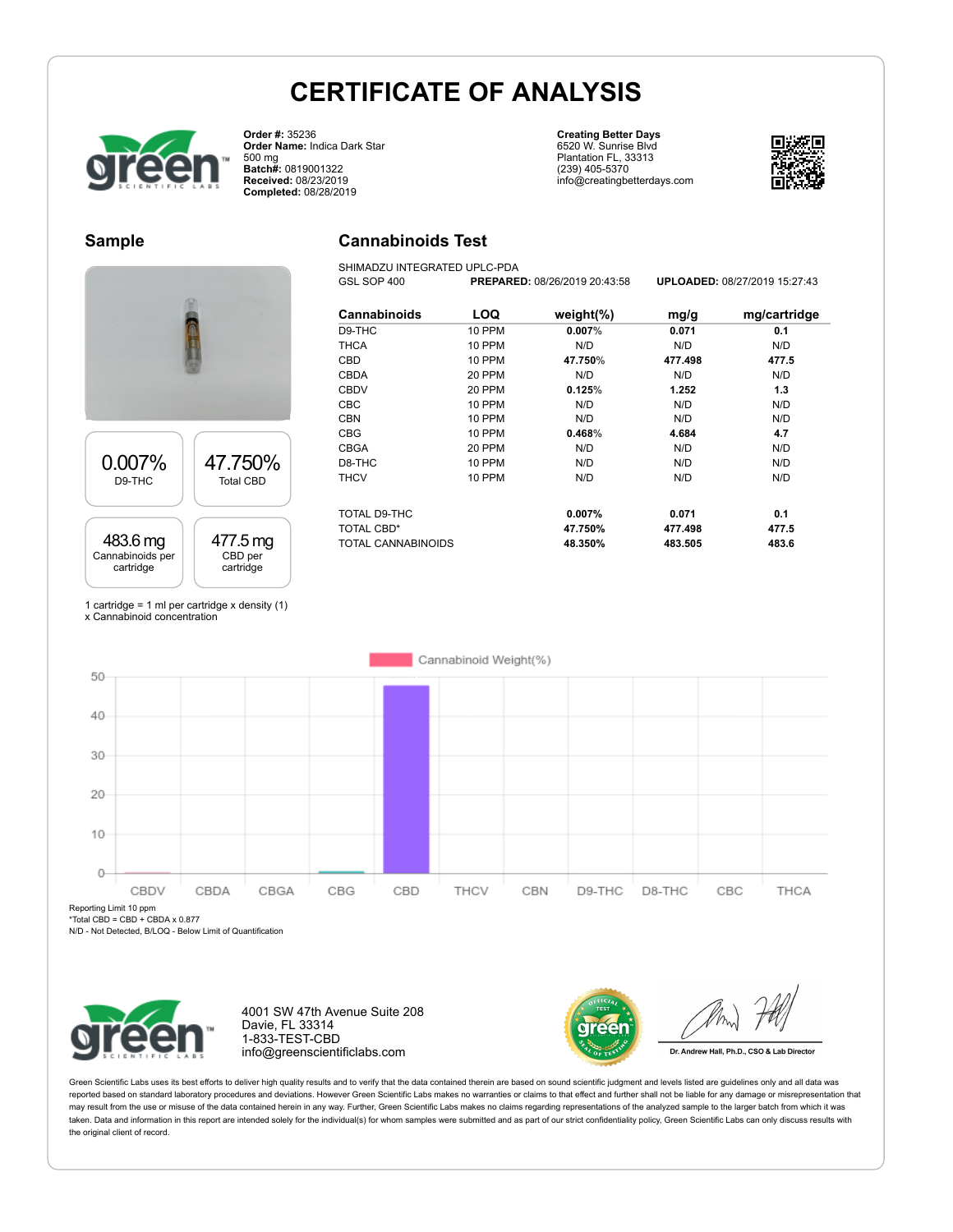**Cannabinoids Test** SHIMADZU INTEGRATED UPLC-PDA



**Order #:** 35236 **Order Name:** Indica Dark Star 500 mg **Batch#:** 0819001322 **Received:** 08/23/2019 **Completed:** 08/28/2019

**Creating Better Days** 6520 W. Sunrise Blvd Plantation FL, 33313 (239) 405-5370 info@creatingbetterdays.com



#### **Sample**



| Cannabinoids                     | LOQ    | weight $(\%)$      | mg/g               | mg/cartridge   |
|----------------------------------|--------|--------------------|--------------------|----------------|
| D9-THC                           | 10 PPM | $0.007\%$          | 0.071              | 0.1            |
| <b>THCA</b>                      | 10 PPM | N/D                | N/D                | N/D            |
| CBD                              | 10 PPM | 47.750%            | 477.498            | 477.5          |
| CBDA                             | 20 PPM | N/D                | N/D                | N/D            |
| <b>CBDV</b>                      | 20 PPM | 0.125%             | 1.252              | 1.3            |
| <b>CBC</b>                       | 10 PPM | N/D                | N/D                | N/D            |
| <b>CBN</b>                       | 10 PPM | N/D                | N/D                | N/D            |
| <b>CBG</b>                       | 10 PPM | 0.468%             | 4.684              | 4.7            |
| <b>CBGA</b>                      | 20 PPM | N/D                | N/D                | N/D            |
| D8-THC                           | 10 PPM | N/D                | N/D                | N/D            |
| <b>THCV</b>                      | 10 PPM | N/D                | N/D                | N/D            |
| TOTAL D9-THC                     |        | 0.007%             | 0.071              | 0.1            |
| TOTAL CBD*<br>TOTAL CANNABINOIDS |        | 47.750%<br>48.350% | 477.498<br>483.505 | 477.5<br>483.6 |

GSL SOP 400 **PREPARED:** 08/26/2019 20:43:58 **UPLOADED:** 08/27/2019 15:27:43

1 cartridge = 1 ml per cartridge x density (1) x Cannabinoid concentration



Reporting Limit 10 ppm

\*Total CBD = CBD + CBDA x 0.877

N/D - Not Detected, B/LOQ - Below Limit of Quantification



4001 SW 47th Avenue Suite 208 Davie, FL 33314 1-833-TEST-CBD info@greenscientificlabs.com



Dr. Andrew Hall, Ph.D., CSO & Lab Director

Green Scientific Labs uses its best efforts to deliver high quality results and to verify that the data contained therein are based on sound scientific judgment and levels listed are guidelines only and all data was reported based on standard laboratory procedures and deviations. However Green Scientific Labs makes no warranties or claims to that effect and further shall not be liable for any damage or misrepresentation that may result from the use or misuse of the data contained herein in any way. Further, Green Scientific Labs makes no claims regarding representations of the analyzed sample to the larger batch from which it was taken. Data and information in this report are intended solely for the individual(s) for whom samples were submitted and as part of our strict confidentiality policy, Green Scientific Labs can only discuss results with the original client of record.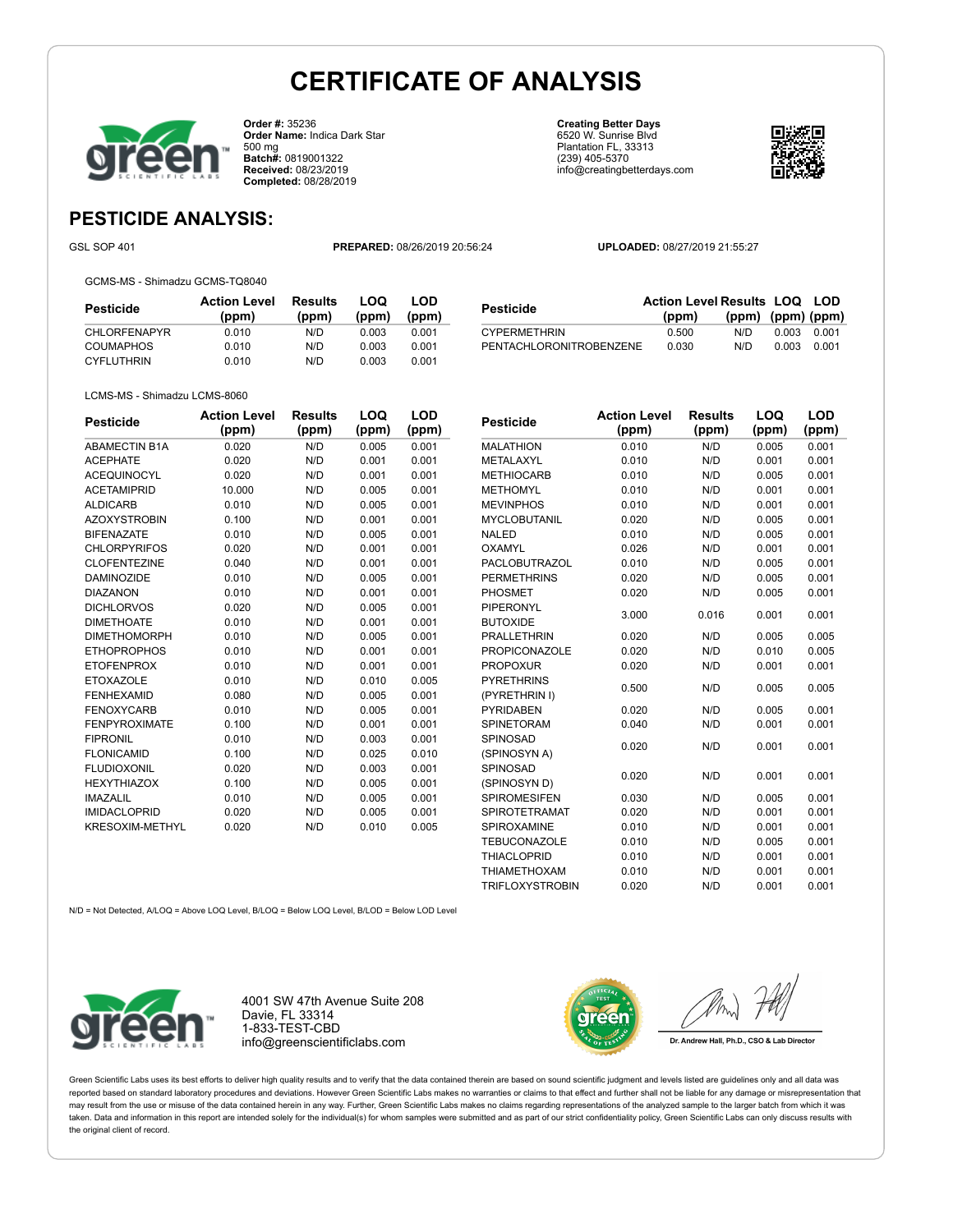

**Order #:** 35236 **Order Name:** Indica Dark Star 500 mg **Batch#:** 0819001322 **Received:** 08/23/2019 **Completed:** 08/28/2019

**Creating Better Days** 6520 W. Sunrise Blvd Plantation FL, 33313 (239) 405-5370 info@creatingbetterdays.com



### **PESTICIDE ANALYSIS:**

GSL SOP 401 **PREPARED:** 08/26/2019 20:56:24 **UPLOADED:** 08/27/2019 21:55:27

GCMS-MS - Shimadzu GCMS-TQ8040

| Pesticide           | <b>Action Level</b><br>(ppm) | Results<br>(ppm) | ∟OQ<br>(ppm) | LOD<br>(ppm) | <b>Pesticide</b>        | Action Level Results LOQ LOD<br>(ppm | (ppm) | $(ppm)$ (ppm) |       |
|---------------------|------------------------------|------------------|--------------|--------------|-------------------------|--------------------------------------|-------|---------------|-------|
| <b>CHLORFENAPYR</b> | 0.010                        | N/D              | 0.003        | 0.001        | <b>CYPERMETHRIN</b>     | 0.500                                | N/D   | 0.003         | 0.001 |
| COUMAPHOS           | 0.010                        | N/D              | 0.003        | 0.001        | PENTACHLORONITROBENZENE | 0.030                                | N/D   | 0.003         | 0.001 |
| <b>CYFLUTHRIN</b>   | 0.010                        | N/D              | 0.003        | 0.001        |                         |                                      |       |               |       |

LCMS-MS - Shimadzu LCMS-8060

| <b>Pesticide</b>       | <b>Action Level</b> | <b>Results</b> | LOQ   | LOD   |  |
|------------------------|---------------------|----------------|-------|-------|--|
|                        | (ppm)               | (ppm)          | (ppm) | (ppm) |  |
| <b>ABAMECTIN B1A</b>   | 0.020               | N/D            | 0.005 | 0.001 |  |
| <b>ACEPHATE</b>        | 0.020               | N/D            | 0.001 | 0.001 |  |
| <b>ACEQUINOCYL</b>     | 0.020               | N/D            | 0.001 | 0.001 |  |
| <b>ACETAMIPRID</b>     | 10.000              | N/D            | 0.005 | 0.001 |  |
| <b>ALDICARB</b>        | 0.010               | N/D            | 0.005 | 0.001 |  |
| <b>AZOXYSTROBIN</b>    | 0.100               | N/D            | 0.001 | 0.001 |  |
| <b>BIFENAZATE</b>      | 0.010               | N/D            | 0.005 | 0.001 |  |
| <b>CHLORPYRIFOS</b>    | 0.020               | N/D            | 0.001 | 0.001 |  |
| <b>CLOFENTEZINE</b>    | 0.040               | N/D            | 0.001 | 0.001 |  |
| <b>DAMINOZIDE</b>      | 0.010               | N/D            | 0.005 | 0.001 |  |
| <b>DIAZANON</b>        | 0.010               | N/D            | 0.001 | 0.001 |  |
| <b>DICHLORVOS</b>      | 0.020               | N/D            | 0.005 | 0.001 |  |
| <b>DIMETHOATE</b>      | 0.010               | N/D            | 0.001 | 0.001 |  |
| <b>DIMETHOMORPH</b>    | 0.010               | N/D            | 0.005 | 0.001 |  |
| <b>ETHOPROPHOS</b>     | 0.010               | N/D            | 0.001 | 0.001 |  |
| <b>ETOFENPROX</b>      | 0.010               | N/D            | 0.001 | 0.001 |  |
| <b>ETOXAZOLE</b>       | 0.010               | N/D            | 0.010 | 0.005 |  |
| <b>FENHEXAMID</b>      | 0.080               | N/D            | 0.005 | 0.001 |  |
| <b>FENOXYCARB</b>      | 0.010               | N/D            | 0.005 | 0.001 |  |
| <b>FENPYROXIMATE</b>   | 0.100               | N/D            | 0.001 | 0.001 |  |
| <b>FIPRONIL</b>        | 0.010               | N/D            | 0.003 | 0.001 |  |
| <b>FLONICAMID</b>      | 0.100               | N/D            | 0.025 | 0.010 |  |
| <b>FLUDIOXONIL</b>     | 0.020               | N/D            | 0.003 | 0.001 |  |
| <b>HEXYTHIAZOX</b>     | 0.100               | N/D            | 0.005 | 0.001 |  |
| <b>IMAZALIL</b>        | 0.010               | N/D            | 0.005 | 0.001 |  |
| <b>IMIDACLOPRID</b>    | 0.020               | N/D            | 0.005 | 0.001 |  |
| <b>KRESOXIM-METHYL</b> | 0.020               | N/D            | 0.010 | 0.005 |  |

| Pesticide              | <b>Action Level</b> | <b>Results</b> | LOQ   | LOD   |  |
|------------------------|---------------------|----------------|-------|-------|--|
|                        | (ppm)               | (ppm)          | (ppm) | (ppm) |  |
| <b>MALATHION</b>       | 0.010               | N/D            | 0.005 | 0.001 |  |
| METALAXYL              | 0.010               | N/D            | 0.001 | 0.001 |  |
| <b>METHIOCARB</b>      | 0.010               | N/D            | 0.005 | 0.001 |  |
| <b>METHOMYL</b>        | 0.010               | N/D            | 0.001 | 0.001 |  |
| <b>MEVINPHOS</b>       | 0.010               | N/D            | 0.001 | 0.001 |  |
| <b>MYCLOBUTANIL</b>    | 0.020               | N/D            | 0.005 | 0.001 |  |
| <b>NALED</b>           | 0.010               | N/D            | 0.005 | 0.001 |  |
| <b>OXAMYL</b>          | 0.026               | N/D            | 0.001 | 0.001 |  |
| <b>PACLOBUTRAZOL</b>   | 0.010               | N/D            | 0.005 | 0.001 |  |
| <b>PERMETHRINS</b>     | 0.020               | N/D            | 0.005 | 0.001 |  |
| PHOSMET                | 0.020               | N/D            | 0.005 | 0.001 |  |
| PIPERONYL              | 3.000               | 0.016          | 0.001 | 0.001 |  |
| <b>BUTOXIDE</b>        |                     |                |       |       |  |
| <b>PRALLETHRIN</b>     | 0.020               | N/D            | 0.005 | 0.005 |  |
| <b>PROPICONAZOLE</b>   | 0.020               | N/D            | 0.010 | 0.005 |  |
| <b>PROPOXUR</b>        | 0.020               | N/D            | 0.001 | 0.001 |  |
| <b>PYRETHRINS</b>      | 0.500               | N/D            | 0.005 | 0.005 |  |
| (PYRETHRIN I)          |                     |                |       |       |  |
| <b>PYRIDABEN</b>       | 0.020               | N/D            | 0.005 | 0.001 |  |
| SPINETORAM             | 0.040               | N/D            | 0.001 | 0.001 |  |
| SPINOSAD               | 0.020               | N/D            | 0.001 | 0.001 |  |
| (SPINOSYN A)           |                     |                |       |       |  |
| SPINOSAD               |                     | N/D            | 0.001 |       |  |
| (SPINOSYN D)           | 0.020               |                |       | 0.001 |  |
| <b>SPIROMESIFEN</b>    | 0.030               | N/D            | 0.005 | 0.001 |  |
| <b>SPIROTETRAMAT</b>   | 0.020               | N/D            | 0.001 | 0.001 |  |
| SPIROXAMINE            | 0.010               | N/D            | 0.001 | 0.001 |  |
| <b>TEBUCONAZOLE</b>    | 0.010               | N/D            | 0.005 | 0.001 |  |
| <b>THIACLOPRID</b>     | 0.010               | N/D            | 0.001 | 0.001 |  |
| <b>THIAMETHOXAM</b>    | 0.010               | N/D            | 0.001 | 0.001 |  |
| <b>TRIFLOXYSTROBIN</b> | 0.020               | N/D            | 0.001 | 0.001 |  |

N/D = Not Detected, A/LOQ = Above LOQ Level, B/LOQ = Below LOQ Level, B/LOD = Below LOD Level



4001 SW 47th Avenue Suite 208 Davie, FL 33314 1-833-TEST-CBD info@greenscientificlabs.com



Dr. Andrew Hall, Ph.D., CSO & Lab Director

Green Scientific Labs uses its best efforts to deliver high quality results and to verify that the data contained therein are based on sound scientific judgment and levels listed are guidelines only and all data was reported based on standard laboratory procedures and deviations. However Green Scientific Labs makes no warranties or claims to that effect and further shall not be liable for any damage or misrepresentation that may result from the use or misuse of the data contained herein in any way. Further, Green Scientific Labs makes no claims regarding representations of the analyzed sample to the larger batch from which it was taken. Data and information in this report are intended solely for the individual(s) for whom samples were submitted and as part of our strict confidentiality policy, Green Scientific Labs can only discuss results with the original client of record.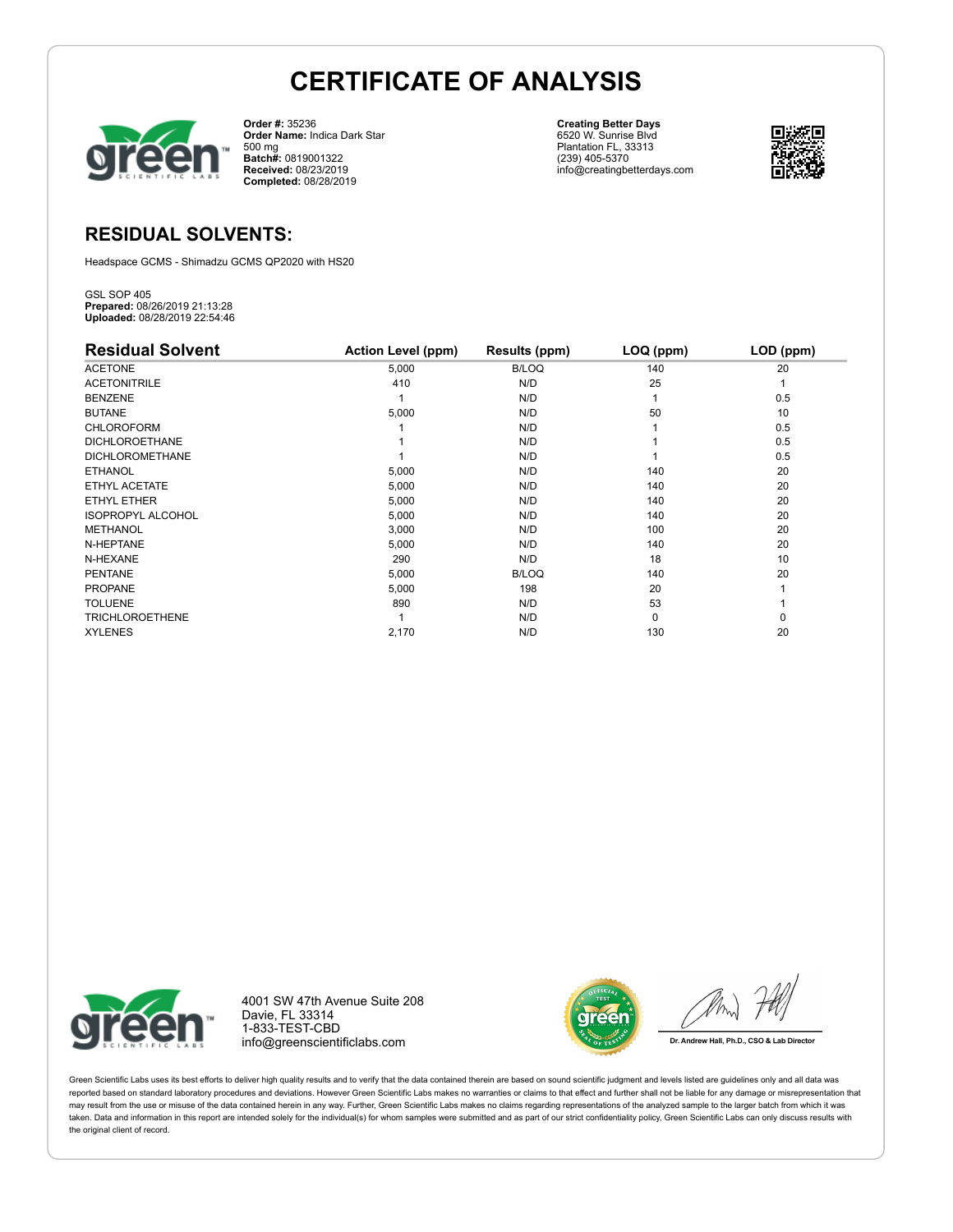

**Order #:** 35236 **Order Name:** Indica Dark Star 500 mg **Batch#:** 0819001322 **Received:** 08/23/2019 **Completed:** 08/28/2019

**Creating Better Days** 6520 W. Sunrise Blvd Plantation FL, 33313 (239) 405-5370 info@creatingbetterdays.com



#### **RESIDUAL SOLVENTS:**

Headspace GCMS - Shimadzu GCMS QP2020 with HS20

GSL SOP 405 **Prepared:** 08/26/2019 21:13:28 **Uploaded:** 08/28/2019 22:54:46

| <b>Residual Solvent</b>  | <b>Action Level (ppm)</b> | Results (ppm) | LOQ (ppm) | LOD (ppm) |
|--------------------------|---------------------------|---------------|-----------|-----------|
| <b>ACETONE</b>           | 5,000                     | <b>B/LOQ</b>  | 140       | 20        |
| <b>ACETONITRILE</b>      | 410                       | N/D           | 25        |           |
| <b>BENZENE</b>           |                           | N/D           |           | 0.5       |
| <b>BUTANE</b>            | 5,000                     | N/D           | 50        | 10        |
| <b>CHLOROFORM</b>        |                           | N/D           |           | 0.5       |
| <b>DICHLOROETHANE</b>    |                           | N/D           |           | 0.5       |
| <b>DICHLOROMETHANE</b>   |                           | N/D           |           | 0.5       |
| <b>ETHANOL</b>           | 5,000                     | N/D           | 140       | 20        |
| ETHYL ACETATE            | 5,000                     | N/D           | 140       | 20        |
| ETHYL ETHER              | 5,000                     | N/D           | 140       | 20        |
| <b>ISOPROPYL ALCOHOL</b> | 5,000                     | N/D           | 140       | 20        |
| <b>METHANOL</b>          | 3,000                     | N/D           | 100       | 20        |
| N-HEPTANE                | 5,000                     | N/D           | 140       | 20        |
| N-HEXANE                 | 290                       | N/D           | 18        | 10        |
| <b>PENTANE</b>           | 5,000                     | <b>B/LOQ</b>  | 140       | 20        |
| <b>PROPANE</b>           | 5,000                     | 198           | 20        |           |
| <b>TOLUENE</b>           | 890                       | N/D           | 53        |           |
| <b>TRICHLOROETHENE</b>   |                           | N/D           | $\Omega$  | 0         |
| <b>XYLENES</b>           | 2,170                     | N/D           | 130       | 20        |



4001 SW 47th Avenue Suite 208 Davie, FL 33314 1-833-TEST-CBD info@greenscientificlabs.com



Dr. Andrew Hall, Ph.D., CSO & Lab Director

Green Scientific Labs uses its best efforts to deliver high quality results and to verify that the data contained therein are based on sound scientific judgment and levels listed are guidelines only and all data was reported based on standard laboratory procedures and deviations. However Green Scientific Labs makes no warranties or claims to that effect and further shall not be liable for any damage or misrepresentation that may result from the use or misuse of the data contained herein in any way. Further, Green Scientific Labs makes no claims regarding representations of the analyzed sample to the larger batch from which it was taken. Data and information in this report are intended solely for the individual(s) for whom samples were submitted and as part of our strict confidentiality policy, Green Scientific Labs can only discuss results with the original client of record.